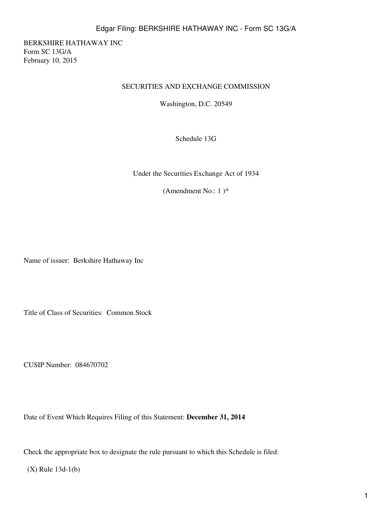BERKSHIRE HATHAWAY INC Form SC 13G/A February 10, 2015

### SECURITIES AND EXCHANGE COMMISSION

Washington, D.C. 20549

Schedule 13G

Under the Securities Exchange Act of 1934

(Amendment No.:  $1$ <sup>\*</sup>

Name of issuer: Berkshire Hathaway Inc

Title of Class of Securities: Common Stock

CUSIP Number: 084670702

Date of Event Which Requires Filing of this Statement: **December 31, 2014**

Check the appropriate box to designate the rule pursuant to which this Schedule is filed:

(X) Rule 13d-1(b)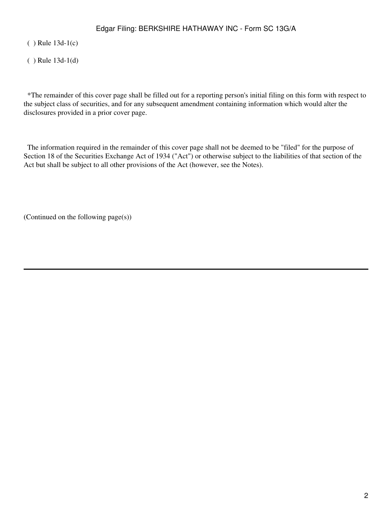( ) Rule 13d-1(c)

( ) Rule 13d-1(d)

 \*The remainder of this cover page shall be filled out for a reporting person's initial filing on this form with respect to the subject class of securities, and for any subsequent amendment containing information which would alter the disclosures provided in a prior cover page.

 The information required in the remainder of this cover page shall not be deemed to be "filed" for the purpose of Section 18 of the Securities Exchange Act of 1934 ("Act") or otherwise subject to the liabilities of that section of the Act but shall be subject to all other provisions of the Act (however, see the Notes).

(Continued on the following page(s))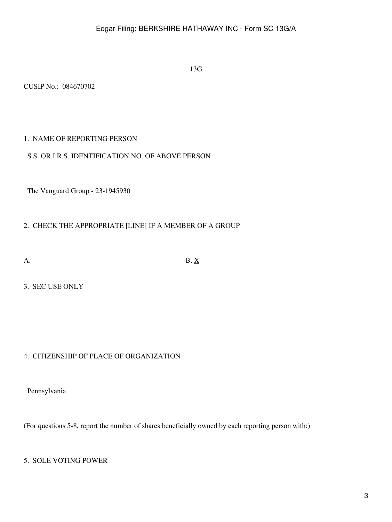13G

CUSIP No.: 084670702

## 1. NAME OF REPORTING PERSON

### S.S. OR I.R.S. IDENTIFICATION NO. OF ABOVE PERSON

The Vanguard Group - 23-1945930

## 2. CHECK THE APPROPRIATE [LINE] IF A MEMBER OF A GROUP

A. B.  $\underline{X}$ 

3. SEC USE ONLY

## 4. CITIZENSHIP OF PLACE OF ORGANIZATION

Pennsylvania

(For questions 5-8, report the number of shares beneficially owned by each reporting person with:)

## 5. SOLE VOTING POWER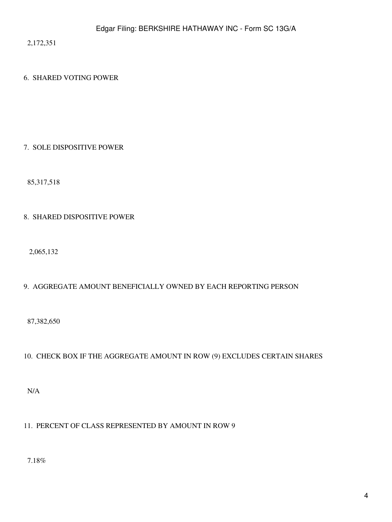2,172,351

## 6. SHARED VOTING POWER

### 7. SOLE DISPOSITIVE POWER

85,317,518

## 8. SHARED DISPOSITIVE POWER

2,065,132

## 9. AGGREGATE AMOUNT BENEFICIALLY OWNED BY EACH REPORTING PERSON

87,382,650

## 10. CHECK BOX IF THE AGGREGATE AMOUNT IN ROW (9) EXCLUDES CERTAIN SHARES

N/A

## 11. PERCENT OF CLASS REPRESENTED BY AMOUNT IN ROW 9

7.18%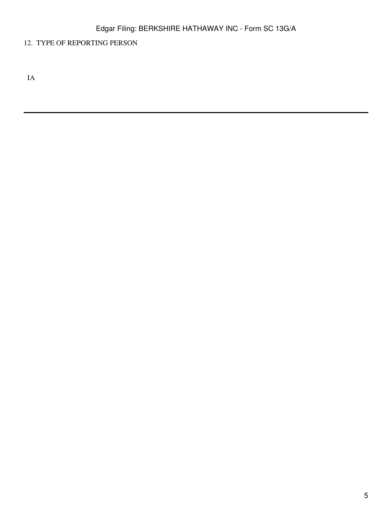## 12. TYPE OF REPORTING PERSON

IA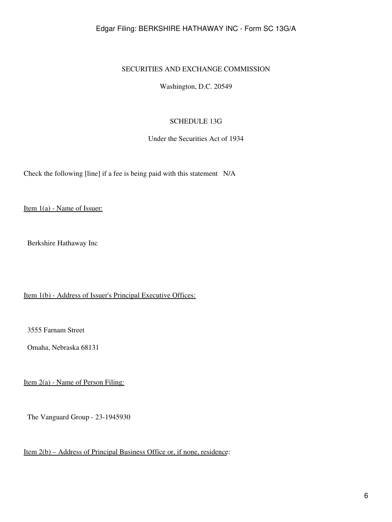### SECURITIES AND EXCHANGE COMMISSION

Washington, D.C. 20549

### SCHEDULE 13G

Under the Securities Act of 1934

Check the following [line] if a fee is being paid with this statement N/A

Item 1(a) - Name of Issuer:

Berkshire Hathaway Inc

Item 1(b) - Address of Issuer's Principal Executive Offices:

3555 Farnam Street

Omaha, Nebraska 68131

Item 2(a) - Name of Person Filing:

The Vanguard Group - 23-1945930

Item 2(b) – Address of Principal Business Office or, if none, residence: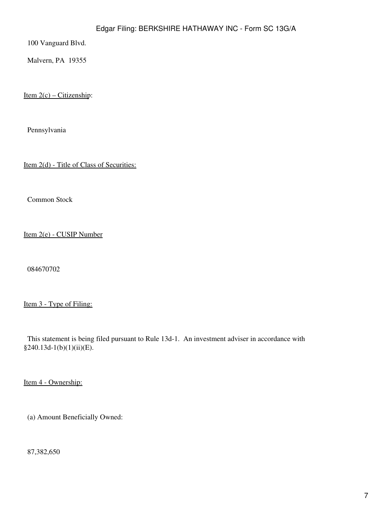100 Vanguard Blvd.

Malvern, PA 19355

Item  $2(c)$  – Citizenship:

Pennsylvania

Item 2(d) - Title of Class of Securities:

Common Stock

Item 2(e) - CUSIP Number

084670702

Item 3 - Type of Filing:

 This statement is being filed pursuant to Rule 13d-1. An investment adviser in accordance with §240.13d-1(b)(1)(ii)(E).

Item 4 - Ownership:

(a) Amount Beneficially Owned:

87,382,650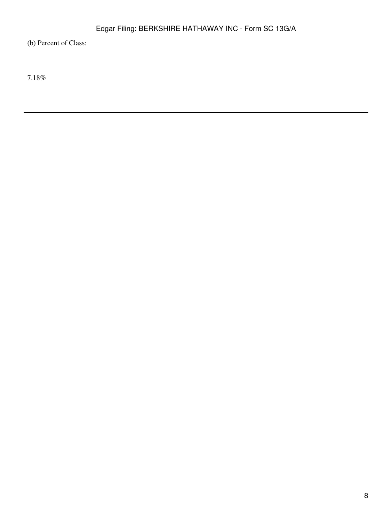(b) Percent of Class:

7.18%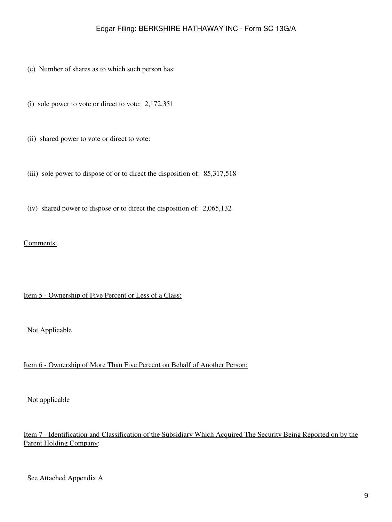- (c) Number of shares as to which such person has:
- (i) sole power to vote or direct to vote: 2,172,351
- (ii) shared power to vote or direct to vote:
- (iii) sole power to dispose of or to direct the disposition of: 85,317,518
- (iv) shared power to dispose or to direct the disposition of: 2,065,132

### Comments:

### Item 5 - Ownership of Five Percent or Less of a Class:

Not Applicable

### Item 6 - Ownership of More Than Five Percent on Behalf of Another Person:

Not applicable

## Item 7 - Identification and Classification of the Subsidiary Which Acquired The Security Being Reported on by the Parent Holding Company:

See Attached Appendix A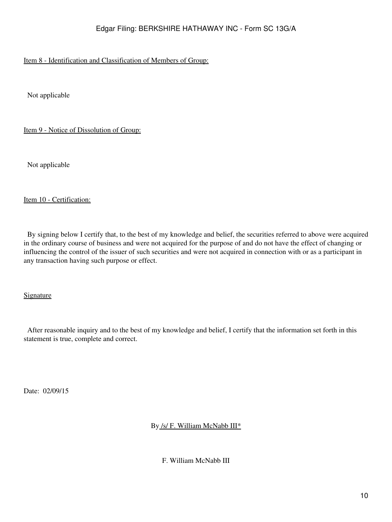## Item 8 - Identification and Classification of Members of Group:

Not applicable

Item 9 - Notice of Dissolution of Group:

Not applicable

### Item 10 - Certification:

 By signing below I certify that, to the best of my knowledge and belief, the securities referred to above were acquired in the ordinary course of business and were not acquired for the purpose of and do not have the effect of changing or influencing the control of the issuer of such securities and were not acquired in connection with or as a participant in any transaction having such purpose or effect.

Signature

 After reasonable inquiry and to the best of my knowledge and belief, I certify that the information set forth in this statement is true, complete and correct.

Date: 02/09/15

By /s/ F. William McNabb III\*

F. William McNabb III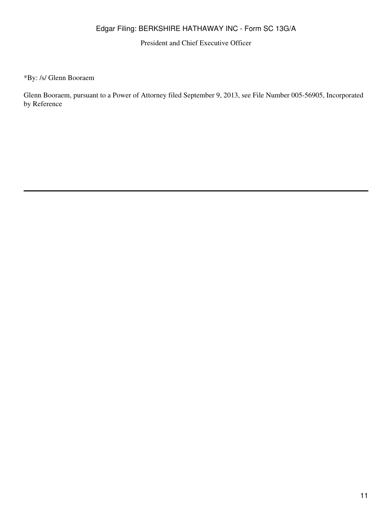President and Chief Executive Officer

\*By: /s/ Glenn Booraem

Glenn Booraem, pursuant to a Power of Attorney filed September 9, 2013, see File Number 005-56905, Incorporated by Reference